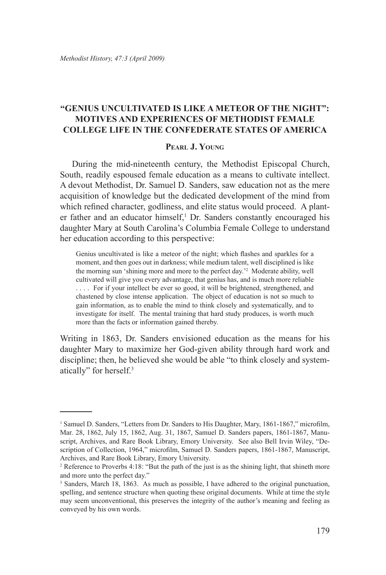## **"Genius uncultivated is like a meteor of the night": Motives and Experiences of Methodist Female College Life in the Confederate States of America**

## **Pearl J. Young**

During the mid-nineteenth century, the Methodist Episcopal Church, South, readily espoused female education as a means to cultivate intellect. A devout Methodist, Dr. Samuel D. Sanders, saw education not as the mere acquisition of knowledge but the dedicated development of the mind from which refined character, godliness, and elite status would proceed. A planter father and an educator himself,<sup>1</sup> Dr. Sanders constantly encouraged his daughter Mary at South Carolina's Columbia Female College to understand her education according to this perspective:

Genius uncultivated is like a meteor of the night; which flashes and sparkles for a moment, and then goes out in darkness; while medium talent, well disciplined is like the morning sun 'shining more and more to the perfect day.'2 Moderate ability, well cultivated will give you every advantage, that genius has, and is much more reliable .... For if your intellect be ever so good, it will be brightened, strengthened, and chastened by close intense application. The object of education is not so much to gain information, as to enable the mind to think closely and systematically, and to investigate for itself. The mental training that hard study produces, is worth much more than the facts or information gained thereby.

Writing in 1863, Dr. Sanders envisioned education as the means for his daughter Mary to maximize her God-given ability through hard work and discipline; then, he believed she would be able "to think closely and systematically" for herself.3

<sup>&</sup>lt;sup>1</sup> Samuel D. Sanders, "Letters from Dr. Sanders to His Daughter, Mary, 1861-1867," microfilm, Mar. 28, 1862, July 15, 1862, Aug. 31, 1867, Samuel D. Sanders papers, 1861-1867, Manuscript, Archives, and Rare Book Library, Emory University. See also Bell Irvin Wiley, "Description of Collection, 1964," microfilm, Samuel D. Sanders papers, 1861-1867, Manuscript, Archives, and Rare Book Library, Emory University.

<sup>&</sup>lt;sup>2</sup> Reference to Proverbs 4:18: "But the path of the just is as the shining light, that shineth more and more unto the perfect day."

<sup>&</sup>lt;sup>3</sup> Sanders, March 18, 1863. As much as possible, I have adhered to the original punctuation, spelling, and sentence structure when quoting these original documents. While at time the style may seem unconventional, this preserves the integrity of the author's meaning and feeling as conveyed by his own words.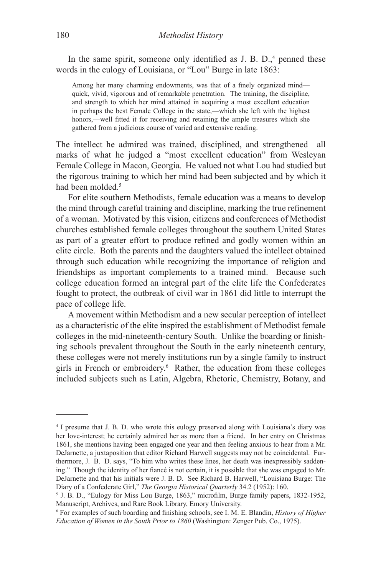In the same spirit, someone only identified as  $J. B. D$ ,  $4$  penned these words in the eulogy of Louisiana, or "Lou" Burge in late 1863:

Among her many charming endowments, was that of a finely organized mind quick, vivid, vigorous and of remarkable penetration. The training, the discipline, and strength to which her mind attained in acquiring a most excellent education in perhaps the best Female College in the state,—which she left with the highest honors,—well fitted it for receiving and retaining the ample treasures which she gathered from a judicious course of varied and extensive reading.

The intellect he admired was trained, disciplined, and strengthened—all marks of what he judged a "most excellent education" from Wesleyan Female College in Macon, Georgia. He valued not what Lou had studied but the rigorous training to which her mind had been subjected and by which it had been molded.<sup>5</sup>

For elite southern Methodists, female education was a means to develop the mind through careful training and discipline, marking the true refinement of a woman. Motivated by this vision, citizens and conferences of Methodist churches established female colleges throughout the southern United States as part of a greater effort to produce refined and godly women within an elite circle. Both the parents and the daughters valued the intellect obtained through such education while recognizing the importance of religion and friendships as important complements to a trained mind. Because such college education formed an integral part of the elite life the Confederates fought to protect, the outbreak of civil war in 1861 did little to interrupt the pace of college life.

A movement within Methodism and a new secular perception of intellect as a characteristic of the elite inspired the establishment of Methodist female colleges in the mid-nineteenth-century South. Unlike the boarding or finishing schools prevalent throughout the South in the early nineteenth century, these colleges were not merely institutions run by a single family to instruct girls in French or embroidery.6 Rather, the education from these colleges included subjects such as Latin, Algebra, Rhetoric, Chemistry, Botany, and

<sup>4</sup> I presume that J. B. D. who wrote this eulogy preserved along with Louisiana's diary was her love-interest; he certainly admired her as more than a friend. In her entry on Christmas 1861, she mentions having been engaged one year and then feeling anxious to hear from a Mr. DeJarnette, a juxtaposition that editor Richard Harwell suggests may not be coincidental. Furthermore, J. B. D. says, "To him who writes these lines, her death was inexpressibly saddening." Though the identity of her fiancé is not certain, it is possible that she was engaged to Mr. DeJarnette and that his initials were J. B. D. See Richard B. Harwell, "Louisiana Burge: The Diary of a Confederate Girl," *The Georgia Historical Quarterly* 34.2 (1952): 160.

<sup>5</sup> J. B. D., "Eulogy for Miss Lou Burge, 1863," microfilm, Burge family papers, 1832-1952, Manuscript, Archives, and Rare Book Library, Emory University.

<sup>6</sup> For examples of such boarding and finishing schools, see I. M. E. Blandin, *History of Higher Education of Women in the South Prior to 1860* (Washington: Zenger Pub. Co., 1975).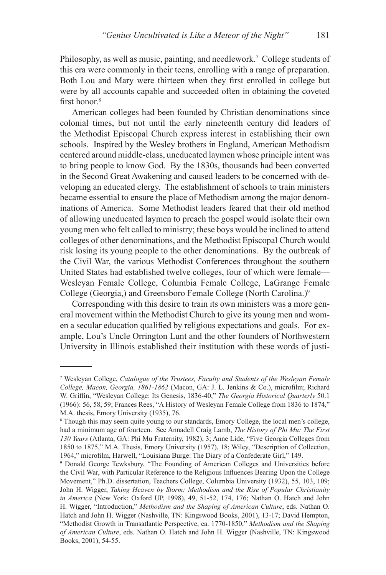Philosophy, as well as music, painting, and needlework.<sup>7</sup> College students of this era were commonly in their teens, enrolling with a range of preparation. Both Lou and Mary were thirteen when they first enrolled in college but were by all accounts capable and succeeded often in obtaining the coveted first honor $8$ 

American colleges had been founded by Christian denominations since colonial times, but not until the early nineteenth century did leaders of the Methodist Episcopal Church express interest in establishing their own schools. Inspired by the Wesley brothers in England, American Methodism centered around middle-class, uneducated laymen whose principle intent was to bring people to know God. By the 1830s, thousands had been converted in the Second Great Awakening and caused leaders to be concerned with developing an educated clergy. The establishment of schools to train ministers became essential to ensure the place of Methodism among the major denominations of America. Some Methodist leaders feared that their old method of allowing uneducated laymen to preach the gospel would isolate their own young men who felt called to ministry; these boys would be inclined to attend colleges of other denominations, and the Methodist Episcopal Church would risk losing its young people to the other denominations. By the outbreak of the Civil War, the various Methodist Conferences throughout the southern United States had established twelve colleges, four of which were female— Wesleyan Female College, Columbia Female College, LaGrange Female College (Georgia,) and Greensboro Female College (North Carolina.)9

Corresponding with this desire to train its own ministers was a more general movement within the Methodist Church to give its young men and women a secular education qualified by religious expectations and goals. For example, Lou's Uncle Orrington Lunt and the other founders of Northwestern University in Illinois established their institution with these words of justi-

<sup>7</sup> Wesleyan College, *Catalogue of the Trustees, Faculty and Students of the Wesleyan Female College, Macon, Georgia, 1861-1862* (Macon, GA: J. L. Jenkins & Co.), microfilm; Richard W. Griffin, "Wesleyan College: Its Genesis, 1836-40," *The Georgia Historical Quarterly* 50.1 (1966): 56, 58, 59; Frances Rees, "A History of Wesleyan Female College from 1836 to 1874," M.A. thesis, Emory University (1935), 76.

<sup>8</sup> Though this may seem quite young to our standards, Emory College, the local men's college, had a minimum age of fourteen. See Annadell Craig Lamb, *The History of Phi Mu: The First 130 Years* (Atlanta, GA: Phi Mu Fraternity, 1982), 3; Anne Lide, "Five Georgia Colleges from 1850 to 1875," M.A. Thesis, Emory University (1957), 18; Wiley, "Description of Collection, 1964," microfilm, Harwell, "Louisiana Burge: The Diary of a Confederate Girl," 149.

<sup>9</sup> Donald George Tewksbury, "The Founding of American Colleges and Universities before the Civil War, with Particular Reference to the Religious Influences Bearing Upon the College Movement," Ph.D. dissertation, Teachers College, Columbia University (1932), 55, 103, 109; John H. Wigger, *Taking Heaven by Storm: Methodism and the Rise of Popular Christianity in America* (New York: Oxford UP, 1998), 49, 51-52, 174, 176; Nathan O. Hatch and John H. Wigger, "Introduction," *Methodism and the Shaping of American Culture*, eds. Nathan O. Hatch and John H. Wigger (Nashville, TN: Kingswood Books, 2001), 13-17; David Hempton, "Methodist Growth in Transatlantic Perspective, ca. 1770-1850," *Methodism and the Shaping of American Culture*, eds. Nathan O. Hatch and John H. Wigger (Nashville, TN: Kingswood Books, 2001), 54-55.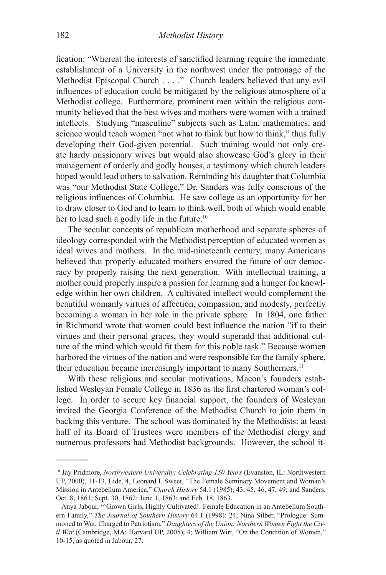fication: "Whereat the interests of sanctified learning require the immediate establishment of a University in the northwest under the patronage of the Methodist Episcopal Church . . . ." Church leaders believed that any evil influences of education could be mitigated by the religious atmosphere of a Methodist college. Furthermore, prominent men within the religious community believed that the best wives and mothers were women with a trained intellects. Studying "masculine" subjects such as Latin, mathematics, and science would teach women "not what to think but how to think," thus fully developing their God-given potential. Such training would not only create hardy missionary wives but would also showcase God's glory in their management of orderly and godly houses, a testimony which church leaders hoped would lead others to salvation. Reminding his daughter that Columbia was "our Methodist State College," Dr. Sanders was fully conscious of the religious influences of Columbia. He saw college as an opportunity for her to draw closer to God and to learn to think well, both of which would enable her to lead such a godly life in the future.<sup>10</sup>

The secular concepts of republican motherhood and separate spheres of ideology corresponded with the Methodist perception of educated women as ideal wives and mothers. In the mid-nineteenth century, many Americans believed that properly educated mothers ensured the future of our democracy by properly raising the next generation. With intellectual training, a mother could properly inspire a passion for learning and a hunger for knowledge within her own children. A cultivated intellect would complement the beautiful womanly virtues of affection, compassion, and modesty, perfectly becoming a woman in her role in the private sphere. In 1804, one father in Richmond wrote that women could best influence the nation "if to their virtues and their personal graces, they would superadd that additional culture of the mind which would fit them for this noble task." Because women harbored the virtues of the nation and were responsible for the family sphere, their education became increasingly important to many Southerners.11

With these religious and secular motivations, Macon's founders established Wesleyan Female College in 1836 as the first chartered woman's college. In order to secure key financial support, the founders of Wesleyan invited the Georgia Conference of the Methodist Church to join them in backing this venture. The school was dominated by the Methodists: at least half of its Board of Trustees were members of the Methodist clergy and numerous professors had Methodist backgrounds. However, the school it-

<sup>10</sup> Jay Pridmore, *Northwestern University: Celebrating 150 Years* (Evanston, IL: Northwestern UP, 2000), 11-13, Lide, 4, Leonard I. Sweet, "The Female Seminary Movement and Woman's Mission in Antebellum America," *Church History* 54.1 (1985), 43, 45, 46, 47, 49; and Sanders, Oct. 8, 1861; Sept. 30, 1862; June 1, 1863; and Feb. 18, 1863.

<sup>&</sup>lt;sup>11</sup> Anya Jabour, "'Grown Girls, Highly Cultivated': Female Education in an Antebellum Southern Family," *The Journal of Southern History* 64.1 (1998): 24; Nina Silber, "Prologue: Summoned to War, Charged to Patriotism," *Daughters of the Union: Northern Women Fight the Civil War* (Cambridge, MA: Harvard UP, 2005), 4; William Wirt, "On the Condition of Women," 10-15, as quoted in Jabour, 27.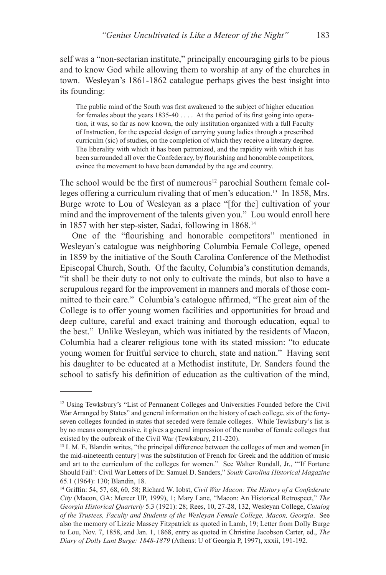self was a "non-sectarian institute," principally encouraging girls to be pious and to know God while allowing them to worship at any of the churches in town. Wesleyan's 1861-1862 catalogue perhaps gives the best insight into its founding:

The public mind of the South was first awakened to the subject of higher education for females about the years 1835-40 . . . . At the period of its first going into operation, it was, so far as now known, the only institution organized with a full Faculty of Instruction, for the especial design of carrying young ladies through a prescribed curriculm (sic) of studies, on the completion of which they receive a literary degree. The liberality with which it has been patronized, and the rapidity with which it has been surrounded all over the Confederacy, by flourishing and honorable competitors, evince the movement to have been demanded by the age and country.

The school would be the first of numerous<sup>12</sup> parochial Southern female colleges offering a curriculum rivaling that of men's education.<sup>13</sup> In 1858, Mrs. Burge wrote to Lou of Wesleyan as a place "[for the] cultivation of your mind and the improvement of the talents given you." Lou would enroll here in 1857 with her step-sister, Sadai, following in 1868.14

One of the "flourishing and honorable competitors" mentioned in Wesleyan's catalogue was neighboring Columbia Female College, opened in 1859 by the initiative of the South Carolina Conference of the Methodist Episcopal Church, South. Of the faculty, Columbia's constitution demands, "it shall be their duty to not only to cultivate the minds, but also to have a scrupulous regard for the improvement in manners and morals of those committed to their care." Columbia's catalogue affirmed, "The great aim of the College is to offer young women facilities and opportunities for broad and deep culture, careful and exact training and thorough education, equal to the best." Unlike Wesleyan, which was initiated by the residents of Macon, Columbia had a clearer religious tone with its stated mission: "to educate young women for fruitful service to church, state and nation." Having sent his daughter to be educated at a Methodist institute, Dr. Sanders found the school to satisfy his definition of education as the cultivation of the mind,

<sup>12</sup> Using Tewksbury's "List of Permanent Colleges and Universities Founded before the Civil War Arranged by States" and general information on the history of each college, six of the fortyseven colleges founded in states that seceded were female colleges. While Tewksbury's list is by no means comprehensive, it gives a general impression of the number of female colleges that existed by the outbreak of the Civil War (Tewksbury, 211-220).

<sup>&</sup>lt;sup>13</sup> I. M. E. Blandin writes, "the principal difference between the colleges of men and women [in the mid-nineteenth century] was the substitution of French for Greek and the addition of music and art to the curriculum of the colleges for women." See Walter Rundall, Jr., "'If Fortune Should Fail': Civil War Letters of Dr. Samuel D. Sanders," *South Carolina Historical Magazine* 65.1 (1964): 130; Blandin, 18.

<sup>14</sup> Griffin: 54, 57, 68, 60, 58; Richard W. Iobst, *Civil War Macon: The History of a Confederate City* (Macon, GA: Mercer UP, 1999), 1; Mary Lane, "Macon: An Historical Retrospect," *The Georgia Historical Quarterly* 5.3 (1921): 28; Rees, 10, 27-28, 132, Wesleyan College, *Catalog of the Trustees, Faculty and Students of the Wesleyan Female College, Macon, Georgia*. See also the memory of Lizzie Massey Fitzpatrick as quoted in Lamb, 19; Letter from Dolly Burge to Lou, Nov. 7, 1858, and Jan. 1, 1868, entry as quoted in Christine Jacobson Carter, ed., *The Diary of Dolly Lunt Burge: 1848-1879* (Athens: U of Georgia P, 1997), xxxii, 191-192.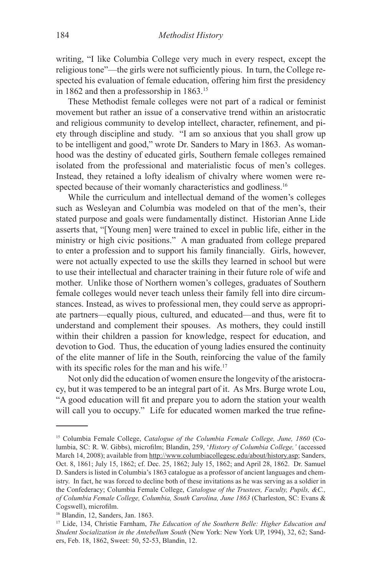writing, "I like Columbia College very much in every respect, except the religious tone"—the girls were not sufficiently pious. In turn, the College respected his evaluation of female education, offering him first the presidency in 1862 and then a professorship in 1863.15

These Methodist female colleges were not part of a radical or feminist movement but rather an issue of a conservative trend within an aristocratic and religious community to develop intellect, character, refinement, and piety through discipline and study. "I am so anxious that you shall grow up to be intelligent and good," wrote Dr. Sanders to Mary in 1863. As womanhood was the destiny of educated girls, Southern female colleges remained isolated from the professional and materialistic focus of men's colleges. Instead, they retained a lofty idealism of chivalry where women were respected because of their womanly characteristics and godliness.<sup>16</sup>

While the curriculum and intellectual demand of the women's colleges such as Wesleyan and Columbia was modeled on that of the men's, their stated purpose and goals were fundamentally distinct. Historian Anne Lide asserts that, "[Young men] were trained to excel in public life, either in the ministry or high civic positions." A man graduated from college prepared to enter a profession and to support his family financially. Girls, however, were not actually expected to use the skills they learned in school but were to use their intellectual and character training in their future role of wife and mother. Unlike those of Northern women's colleges, graduates of Southern female colleges would never teach unless their family fell into dire circumstances. Instead, as wives to professional men, they could serve as appropriate partners—equally pious, cultured, and educated—and thus, were fit to understand and complement their spouses. As mothers, they could instill within their children a passion for knowledge, respect for education, and devotion to God. Thus, the education of young ladies ensured the continuity of the elite manner of life in the South, reinforcing the value of the family with its specific roles for the man and his wife.<sup>17</sup>

Not only did the education of women ensure the longevity of the aristocracy, but it was tempered to be an integral part of it. As Mrs. Burge wrote Lou, "A good education will fit and prepare you to adorn the station your wealth will call you to occupy." Life for educated women marked the true refine-

<sup>15</sup> Columbia Female College, *Catalogue of the Columbia Female College, June, 1860* (Columbia, SC: R. W. Gibbs), microfilm; Blandin, 259, '*History of Columbia College,'* (accessed March 14, 2008); available from http://www.columbiacollegesc.edu/about/history.asp; Sanders, Oct. 8, 1861; July 15, 1862; cf. Dec. 25, 1862; July 15, 1862; and April 28, 1862. Dr. Samuel D. Sanders is listed in Columbia's 1863 catalogue as a professor of ancient languages and chemistry. In fact, he was forced to decline both of these invitations as he was serving as a soldier in the Confederacy; Columbia Female College, *Catalogue of the Trustees, Faculty, Pupils, &C., of Columbia Female College, Columbia, South Carolina, June 1863* (Charleston, SC: Evans & Cogswell), microfilm.

<sup>16</sup> Blandin, 12, Sanders, Jan. 1863.

<sup>17</sup> Lide, 134, Christie Farnham, *The Education of the Southern Belle: Higher Education and Student Socialization in the Antebellum South* (New York: New York UP, 1994), 32, 62; Sanders, Feb. 18, 1862, Sweet: 50, 52-53, Blandin, 12.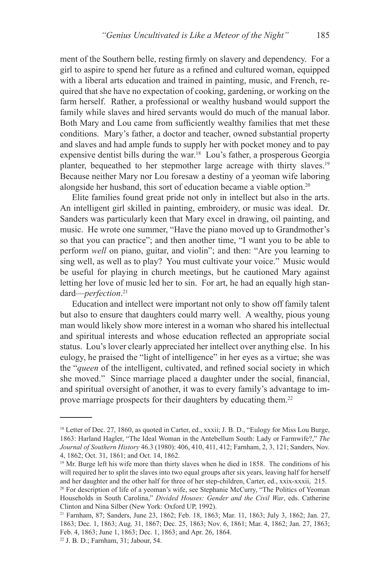ment of the Southern belle, resting firmly on slavery and dependency. For a girl to aspire to spend her future as a refined and cultured woman, equipped with a liberal arts education and trained in painting, music, and French, required that she have no expectation of cooking, gardening, or working on the farm herself. Rather, a professional or wealthy husband would support the family while slaves and hired servants would do much of the manual labor. Both Mary and Lou came from sufficiently wealthy families that met these conditions. Mary's father, a doctor and teacher, owned substantial property and slaves and had ample funds to supply her with pocket money and to pay expensive dentist bills during the war.18 Lou's father, a prosperous Georgia planter, bequeathed to her stepmother large acreage with thirty slaves.19 Because neither Mary nor Lou foresaw a destiny of a yeoman wife laboring alongside her husband, this sort of education became a viable option.20

Elite families found great pride not only in intellect but also in the arts. An intelligent girl skilled in painting, embroidery, or music was ideal. Dr. Sanders was particularly keen that Mary excel in drawing, oil painting, and music. He wrote one summer, "Have the piano moved up to Grandmother's so that you can practice"; and then another time, "I want you to be able to perform *well* on piano, guitar, and violin"; and then: "Are you learning to sing well, as well as to play? You must cultivate your voice." Music would be useful for playing in church meetings, but he cautioned Mary against letting her love of music led her to sin. For art, he had an equally high standard—*perfection*. 21

Education and intellect were important not only to show off family talent but also to ensure that daughters could marry well. A wealthy, pious young man would likely show more interest in a woman who shared his intellectual and spiritual interests and whose education reflected an appropriate social status. Lou's lover clearly appreciated her intellect over anything else. In his eulogy, he praised the "light of intelligence" in her eyes as a virtue; she was the "*queen* of the intelligent, cultivated, and refined social society in which she moved." Since marriage placed a daughter under the social, financial, and spiritual oversight of another, it was to every family's advantage to improve marriage prospects for their daughters by educating them.22

<sup>&</sup>lt;sup>18</sup> Letter of Dec. 27, 1860, as quoted in Carter, ed., xxxii; J. B. D., "Eulogy for Miss Lou Burge, 1863: Harland Hagler, "The Ideal Woman in the Antebellum South: Lady or Farmwife?," *The Journal of Southern History* 46.3 (1980): 406, 410, 411, 412; Farnham, 2, 3, 121; Sanders, Nov. 4, 1862; Oct. 31, 1861; and Oct. 14, 1862.

<sup>&</sup>lt;sup>19</sup> Mr. Burge left his wife more than thirty slaves when he died in 1858. The conditions of his will required her to split the slaves into two equal groups after six years, leaving half for herself and her daughter and the other half for three of her step-children, Carter, ed., xxix-xxxii, 215.

<sup>&</sup>lt;sup>20</sup> For description of life of a yeoman's wife, see Stephanie McCurry, "The Politics of Yeoman" Households in South Carolina," *Divided Houses: Gender and the Civil War*, eds. Catherine Clinton and Nina Silber (New York: Oxford UP, 1992).

<sup>21</sup> Farnham, 87; Sanders, June 23, 1862; Feb. 18, 1863; Mar. 11, 1863; July 3, 1862; Jan. 27, 1863; Dec. 1, 1863; Aug. 31, 1867; Dec. 25, 1863; Nov. 6, 1861; Mar. 4, 1862; Jan. 27, 1863; Feb. 4, 1863; June 1, 1863; Dec. 1, 1863; and Apr. 26, 1864.

<sup>22</sup> J. B. D.; Farnham, 31; Jabour, 54.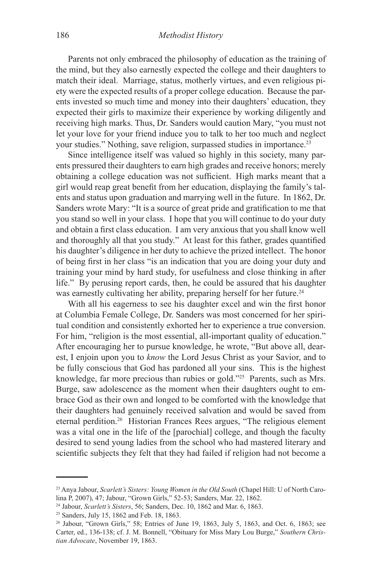Parents not only embraced the philosophy of education as the training of the mind, but they also earnestly expected the college and their daughters to match their ideal. Marriage, status, motherly virtues, and even religious piety were the expected results of a proper college education. Because the parents invested so much time and money into their daughters' education, they expected their girls to maximize their experience by working diligently and receiving high marks. Thus, Dr. Sanders would caution Mary, "you must not let your love for your friend induce you to talk to her too much and neglect your studies." Nothing, save religion, surpassed studies in importance.<sup>23</sup>

Since intelligence itself was valued so highly in this society, many parents pressured their daughters to earn high grades and receive honors; merely obtaining a college education was not sufficient. High marks meant that a girl would reap great benefit from her education, displaying the family's talents and status upon graduation and marrying well in the future. In 1862, Dr. Sanders wrote Mary: "It is a source of great pride and gratification to me that you stand so well in your class. I hope that you will continue to do your duty and obtain a first class education. I am very anxious that you shall know well and thoroughly all that you study." At least for this father, grades quantified his daughter's diligence in her duty to achieve the prized intellect. The honor of being first in her class "is an indication that you are doing your duty and training your mind by hard study, for usefulness and close thinking in after life." By perusing report cards, then, he could be assured that his daughter was earnestly cultivating her ability, preparing herself for her future.<sup>24</sup>

With all his eagerness to see his daughter excel and win the first honor at Columbia Female College, Dr. Sanders was most concerned for her spiritual condition and consistently exhorted her to experience a true conversion. For him, "religion is the most essential, all-important quality of education." After encouraging her to pursue knowledge, he wrote, "But above all, dearest, I enjoin upon you to *know* the Lord Jesus Christ as your Savior, and to be fully conscious that God has pardoned all your sins. This is the highest knowledge, far more precious than rubies or gold."25 Parents, such as Mrs. Burge, saw adolescence as the moment when their daughters ought to embrace God as their own and longed to be comforted with the knowledge that their daughters had genuinely received salvation and would be saved from eternal perdition.26 Historian Frances Rees argues, "The religious element was a vital one in the life of the [parochial] college, and though the faculty desired to send young ladies from the school who had mastered literary and scientific subjects they felt that they had failed if religion had not become a

24 Jabour, *Scarlett's Sisters*, 56; Sanders, Dec. 10, 1862 and Mar. 6, 1863.

25 Sanders, July 15, 1862 and Feb. 18, 1863.

<sup>23</sup> Anya Jabour, *Scarlett's Sisters: Young Women in the Old South* (Chapel Hill: U of North Carolina P, 2007), 47; Jabour, "Grown Girls," 52-53; Sanders, Mar. 22, 1862.

<sup>&</sup>lt;sup>26</sup> Jabour, "Grown Girls," 58; Entries of June 19, 1863, July 5, 1863, and Oct. 6, 1863; see Carter, ed., 136-138; cf. J. M. Bonnell, "Obituary for Miss Mary Lou Burge," *Southern Christian Advocate*, November 19, 1863.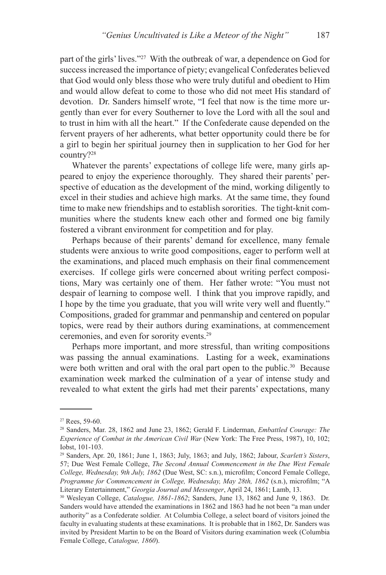part of the girls' lives."27 With the outbreak of war, a dependence on God for success increased the importance of piety; evangelical Confederates believed that God would only bless those who were truly dutiful and obedient to Him and would allow defeat to come to those who did not meet His standard of devotion. Dr. Sanders himself wrote, "I feel that now is the time more urgently than ever for every Southerner to love the Lord with all the soul and to trust in him with all the heart." If the Confederate cause depended on the fervent prayers of her adherents, what better opportunity could there be for a girl to begin her spiritual journey then in supplication to her God for her country?28

Whatever the parents' expectations of college life were, many girls appeared to enjoy the experience thoroughly. They shared their parents' perspective of education as the development of the mind, working diligently to excel in their studies and achieve high marks. At the same time, they found time to make new friendships and to establish sororities. The tight-knit communities where the students knew each other and formed one big family fostered a vibrant environment for competition and for play.

Perhaps because of their parents' demand for excellence, many female students were anxious to write good compositions, eager to perform well at the examinations, and placed much emphasis on their final commencement exercises. If college girls were concerned about writing perfect compositions, Mary was certainly one of them. Her father wrote: "You must not despair of learning to compose well. I think that you improve rapidly, and I hope by the time you graduate, that you will write very well and fluently." Compositions, graded for grammar and penmanship and centered on popular topics, were read by their authors during examinations, at commencement ceremonies, and even for sorority events.29

Perhaps more important, and more stressful, than writing compositions was passing the annual examinations. Lasting for a week, examinations were both written and oral with the oral part open to the public.<sup>30</sup> Because examination week marked the culmination of a year of intense study and revealed to what extent the girls had met their parents' expectations, many

 $27$  Rees, 59-60.

<sup>28</sup> Sanders, Mar. 28, 1862 and June 23, 1862; Gerald F. Linderman, *Embattled Courage: The Experience of Combat in the American Civil War* (New York: The Free Press, 1987), 10, 102; Iobst, 101-103.

<sup>29</sup> Sanders, Apr. 20, 1861; June 1, 1863; July, 1863; and July, 1862; Jabour, *Scarlett's Sisters*, 57; Due West Female College, *The Second Annual Commencement in the Due West Female College, Wednesday, 9th July, 1862* (Due West, SC: s.n.), microfilm; Concord Female College, *Programme for Commencement in College, Wednesday, May 28th, 1862* (s.n.), microfilm; "A Literary Entertainment," *Georgia Journal and Messenger*, April 24, 1861; Lamb, 13.

<sup>30</sup> Wesleyan College, *Catalogue, 1861-1862*; Sanders, June 13, 1862 and June 9, 1863. Dr. Sanders would have attended the examinations in 1862 and 1863 had he not been "a man under authority" as a Confederate soldier. At Columbia College, a select board of visitors joined the faculty in evaluating students at these examinations. It is probable that in 1862, Dr. Sanders was invited by President Martin to be on the Board of Visitors during examination week (Columbia Female College, *Catalogue, 1860*).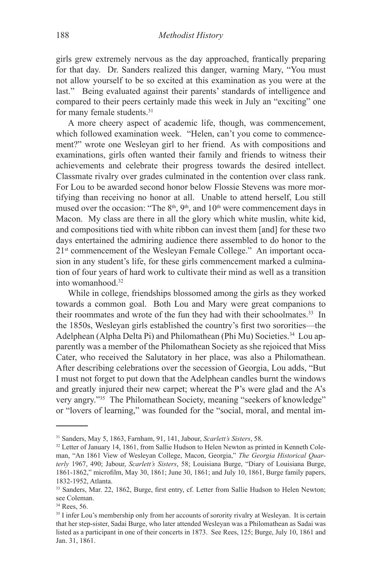girls grew extremely nervous as the day approached, frantically preparing for that day. Dr. Sanders realized this danger, warning Mary, "You must not allow yourself to be so excited at this examination as you were at the last." Being evaluated against their parents' standards of intelligence and compared to their peers certainly made this week in July an "exciting" one for many female students.31

A more cheery aspect of academic life, though, was commencement, which followed examination week. "Helen, can't you come to commencement?" wrote one Wesleyan girl to her friend. As with compositions and examinations, girls often wanted their family and friends to witness their achievements and celebrate their progress towards the desired intellect. Classmate rivalry over grades culminated in the contention over class rank. For Lou to be awarded second honor below Flossie Stevens was more mortifying than receiving no honor at all. Unable to attend herself, Lou still mused over the occasion: "The  $8<sup>th</sup>$ ,  $9<sup>th</sup>$ , and  $10<sup>th</sup>$  were commencement days in Macon. My class are there in all the glory which white muslin, white kid, and compositions tied with white ribbon can invest them [and] for these two days entertained the admiring audience there assembled to do honor to the 2<sup>1st</sup> commencement of the Wesleyan Female College." An important occasion in any student's life, for these girls commencement marked a culmination of four years of hard work to cultivate their mind as well as a transition into womanhood.32

While in college, friendships blossomed among the girls as they worked towards a common goal. Both Lou and Mary were great companions to their roommates and wrote of the fun they had with their schoolmates.<sup>33</sup> In the 1850s, Wesleyan girls established the country's first two sororities—the Adelphean (Alpha Delta Pi) and Philomathean (Phi Mu) Societies.<sup>34</sup> Lou apparently was a member of the Philomathean Society as she rejoiced that Miss Cater, who received the Salutatory in her place, was also a Philomathean. After describing celebrations over the secession of Georgia, Lou adds, "But I must not forget to put down that the Adelphean candles burnt the windows and greatly injured their new carpet; whereat the P's were glad and the A's very angry."35 The Philomathean Society, meaning "seekers of knowledge" or "lovers of learning," was founded for the "social, moral, and mental im-

<sup>31</sup> Sanders, May 5, 1863, Farnham, 91, 141, Jabour, *Scarlett's Sisters*, 58.

<sup>&</sup>lt;sup>32</sup> Letter of January 14, 1861, from Sallie Hudson to Helen Newton as printed in Kenneth Coleman, "An 1861 View of Wesleyan College, Macon, Georgia," *The Georgia Historical Quarterly* 1967, 490; Jabour, *Scarlett's Sisters*, 58; Louisiana Burge, "Diary of Louisiana Burge, 1861-1862," microfilm, May 30, 1861; June 30, 1861; and July 10, 1861, Burge family papers, 1832-1952, Atlanta.

<sup>33</sup> Sanders, Mar. 22, 1862, Burge, first entry, cf. Letter from Sallie Hudson to Helen Newton; see Coleman.

<sup>&</sup>lt;sup>34</sup> Rees, 56.

<sup>&</sup>lt;sup>35</sup> I infer Lou's membership only from her accounts of sorority rivalry at Wesleyan. It is certain that her step-sister, Sadai Burge, who later attended Wesleyan was a Philomathean as Sadai was listed as a participant in one of their concerts in 1873. See Rees, 125; Burge, July 10, 1861 and Jan. 31, 1861.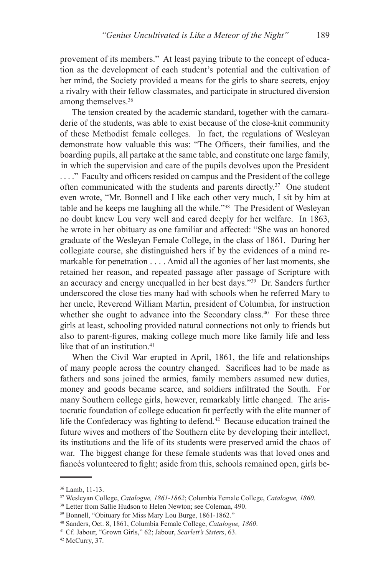provement of its members." At least paying tribute to the concept of education as the development of each student's potential and the cultivation of her mind, the Society provided a means for the girls to share secrets, enjoy a rivalry with their fellow classmates, and participate in structured diversion among themselves.36

The tension created by the academic standard, together with the camaraderie of the students, was able to exist because of the close-knit community of these Methodist female colleges. In fact, the regulations of Wesleyan demonstrate how valuable this was: "The Officers, their families, and the boarding pupils, all partake at the same table, and constitute one large family, in which the supervision and care of the pupils devolves upon the President . . . ." Faculty and officers resided on campus and the President of the college often communicated with the students and parents directly.37 One student even wrote, "Mr. Bonnell and I like each other very much, I sit by him at table and he keeps me laughing all the while."38 The President of Wesleyan no doubt knew Lou very well and cared deeply for her welfare. In 1863, he wrote in her obituary as one familiar and affected: "She was an honored graduate of the Wesleyan Female College, in the class of 1861. During her collegiate course, she distinguished hers if by the evidences of a mind remarkable for penetration . . . . Amid all the agonies of her last moments, she retained her reason, and repeated passage after passage of Scripture with an accuracy and energy unequalled in her best days."39 Dr. Sanders further underscored the close ties many had with schools when he referred Mary to her uncle, Reverend William Martin, president of Columbia, for instruction whether she ought to advance into the Secondary class.<sup>40</sup> For these three girls at least, schooling provided natural connections not only to friends but also to parent-figures, making college much more like family life and less like that of an institution.<sup>41</sup>

When the Civil War erupted in April, 1861, the life and relationships of many people across the country changed. Sacrifices had to be made as fathers and sons joined the armies, family members assumed new duties, money and goods became scarce, and soldiers infiltrated the South. For many Southern college girls, however, remarkably little changed. The aristocratic foundation of college education fit perfectly with the elite manner of life the Confederacy was fighting to defend.<sup>42</sup> Because education trained the future wives and mothers of the Southern elite by developing their intellect, its institutions and the life of its students were preserved amid the chaos of war. The biggest change for these female students was that loved ones and fiancés volunteered to fight; aside from this, schools remained open, girls be-

<sup>36</sup> Lamb, 11-13.

<sup>37</sup> Wesleyan College, *Catalogue, 1861-1862*; Columbia Female College, *Catalogue, 1860*.

<sup>38</sup> Letter from Sallie Hudson to Helen Newton; see Coleman, 490.

<sup>39</sup> Bonnell, "Obituary for Miss Mary Lou Burge, 1861-1862."

<sup>40</sup> Sanders, Oct. 8, 1861, Columbia Female College, *Catalogue, 1860*.

<sup>41</sup> Cf. Jabour, "Grown Girls," 62; Jabour, *Scarlett's Sisters*, 63.

<sup>42</sup> McCurry, 37.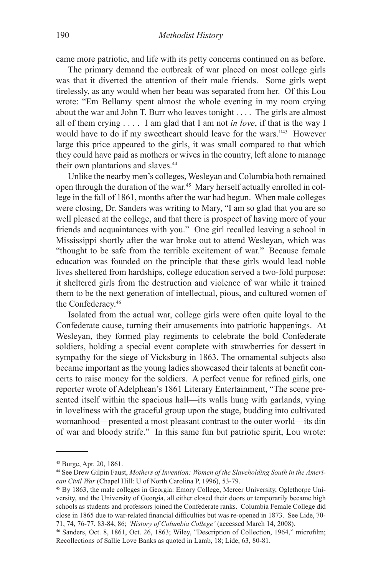came more patriotic, and life with its petty concerns continued on as before.

The primary demand the outbreak of war placed on most college girls was that it diverted the attention of their male friends. Some girls wept tirelessly, as any would when her beau was separated from her. Of this Lou wrote: "Em Bellamy spent almost the whole evening in my room crying about the war and John T. Burr who leaves tonight . . . . The girls are almost all of them crying . . . . I am glad that I am not *in love*, if that is the way I would have to do if my sweetheart should leave for the wars."43 However large this price appeared to the girls, it was small compared to that which they could have paid as mothers or wives in the country, left alone to manage their own plantations and slaves.<sup>44</sup>

Unlike the nearby men's colleges, Wesleyan and Columbia both remained open through the duration of the war.45 Mary herself actually enrolled in college in the fall of 1861, months after the war had begun. When male colleges were closing, Dr. Sanders was writing to Mary, "I am so glad that you are so well pleased at the college, and that there is prospect of having more of your friends and acquaintances with you." One girl recalled leaving a school in Mississippi shortly after the war broke out to attend Wesleyan, which was "thought to be safe from the terrible excitement of war." Because female education was founded on the principle that these girls would lead noble lives sheltered from hardships, college education served a two-fold purpose: it sheltered girls from the destruction and violence of war while it trained them to be the next generation of intellectual, pious, and cultured women of the Confederacy.46

Isolated from the actual war, college girls were often quite loyal to the Confederate cause, turning their amusements into patriotic happenings. At Wesleyan, they formed play regiments to celebrate the bold Confederate soldiers, holding a special event complete with strawberries for dessert in sympathy for the siege of Vicksburg in 1863. The ornamental subjects also became important as the young ladies showcased their talents at benefit concerts to raise money for the soldiers. A perfect venue for refined girls, one reporter wrote of Adelphean's 1861 Literary Entertainment, "The scene presented itself within the spacious hall—its walls hung with garlands, vying in loveliness with the graceful group upon the stage, budding into cultivated womanhood—presented a most pleasant contrast to the outer world—its din of war and bloody strife." In this same fun but patriotic spirit, Lou wrote:

<sup>43</sup> Burge, Apr. 20, 1861.

<sup>44</sup> See Drew Gilpin Faust, *Mothers of Invention: Women of the Slaveholding South in the American Civil War* (Chapel Hill: U of North Carolina P, 1996), 53-79.

<sup>45</sup> By 1863, the male colleges in Georgia: Emory College, Mercer University, Oglethorpe University, and the University of Georgia, all either closed their doors or temporarily became high schools as students and professors joined the Confederate ranks. Columbia Female College did close in 1865 due to war-related financial difficulties but was re-opened in 1873. See Lide, 70- 71, 74, 76-77, 83-84, 86; *'History of Columbia College'* (accessed March 14, 2008).

<sup>46</sup> Sanders, Oct. 8, 1861, Oct. 26, 1863; Wiley, "Description of Collection, 1964," microfilm; Recollections of Sallie Love Banks as quoted in Lamb, 18; Lide, 63, 80-81.